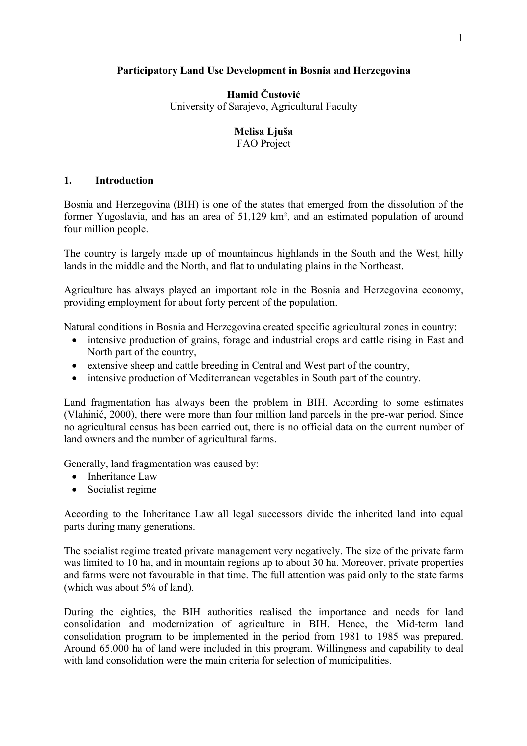## **Participatory Land Use Development in Bosnia and Herzegovina**

**Hamid Čustović** University of Sarajevo, Agricultural Faculty

## **Melisa Ljuša**

FAO Project

## **1. Introduction**

Bosnia and Herzegovina (BIH) is one of the states that emerged from the dissolution of the former Yugoslavia, and has an area of 51,129 km², and an estimated population of around four million people.

The country is largely made up of mountainous highlands in the South and the West, hilly lands in the middle and the North, and flat to undulating plains in the Northeast.

Agriculture has always played an important role in the Bosnia and Herzegovina economy, providing employment for about forty percent of the population.

Natural conditions in Bosnia and Herzegovina created specific agricultural zones in country:

- intensive production of grains, forage and industrial crops and cattle rising in East and North part of the country,
- extensive sheep and cattle breeding in Central and West part of the country,
- intensive production of Mediterranean vegetables in South part of the country.

Land fragmentation has always been the problem in BIH. According to some estimates (Vlahinić, 2000), there were more than four million land parcels in the pre-war period. Since no agricultural census has been carried out, there is no official data on the current number of land owners and the number of agricultural farms.

Generally, land fragmentation was caused by:

- Inheritance Law
- Socialist regime

According to the Inheritance Law all legal successors divide the inherited land into equal parts during many generations.

The socialist regime treated private management very negatively. The size of the private farm was limited to 10 ha, and in mountain regions up to about 30 ha. Moreover, private properties and farms were not favourable in that time. The full attention was paid only to the state farms (which was about 5% of land).

During the eighties, the BIH authorities realised the importance and needs for land consolidation and modernization of agriculture in BIH. Hence, the Mid-term land consolidation program to be implemented in the period from 1981 to 1985 was prepared. Around 65.000 ha of land were included in this program. Willingness and capability to deal with land consolidation were the main criteria for selection of municipalities.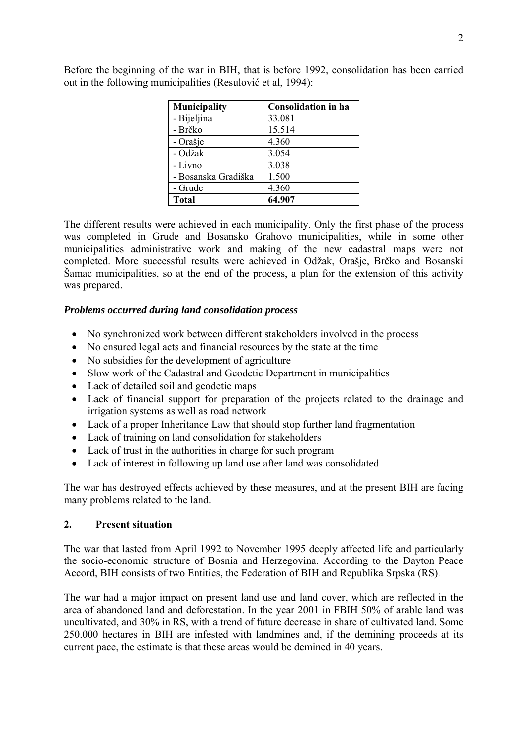| <b>Municipality</b> | <b>Consolidation in ha</b> |
|---------------------|----------------------------|
| - Bijeljina         | 33.081                     |
| - Brčko             | 15.514                     |
| - Orašje            | 4.360                      |
| - Odžak             | 3.054                      |
| - Livno             | 3.038                      |
| - Bosanska Gradiška | 1.500                      |
| - Grude             | 4.360                      |
| <b>Total</b>        | 64.907                     |

Before the beginning of the war in BIH, that is before 1992, consolidation has been carried out in the following municipalities (Resulović et al, 1994):

The different results were achieved in each municipality. Only the first phase of the process was completed in Grude and Bosansko Grahovo municipalities, while in some other municipalities administrative work and making of the new cadastral maps were not completed. More successful results were achieved in Odžak, Orašje, Brčko and Bosanski Šamac municipalities, so at the end of the process, a plan for the extension of this activity was prepared.

### *Problems occurred during land consolidation process*

- No synchronized work between different stakeholders involved in the process
- No ensured legal acts and financial resources by the state at the time
- No subsidies for the development of agriculture
- Slow work of the Cadastral and Geodetic Department in municipalities
- Lack of detailed soil and geodetic maps
- Lack of financial support for preparation of the projects related to the drainage and irrigation systems as well as road network
- Lack of a proper Inheritance Law that should stop further land fragmentation
- Lack of training on land consolidation for stakeholders
- Lack of trust in the authorities in charge for such program
- Lack of interest in following up land use after land was consolidated

The war has destroyed effects achieved by these measures, and at the present BIH are facing many problems related to the land.

### **2. Present situation**

The war that lasted from April 1992 to November 1995 deeply affected life and particularly the socio-economic structure of Bosnia and Herzegovina. According to the Dayton Peace Accord, BIH consists of two Entities, the Federation of BIH and Republika Srpska (RS).

The war had a major impact on present land use and land cover, which are reflected in the area of abandoned land and deforestation. In the year 2001 in FBIH 50% of arable land was uncultivated, and 30% in RS, with a trend of future decrease in share of cultivated land. Some 250.000 hectares in BIH are infested with landmines and, if the demining proceeds at its current pace, the estimate is that these areas would be demined in 40 years.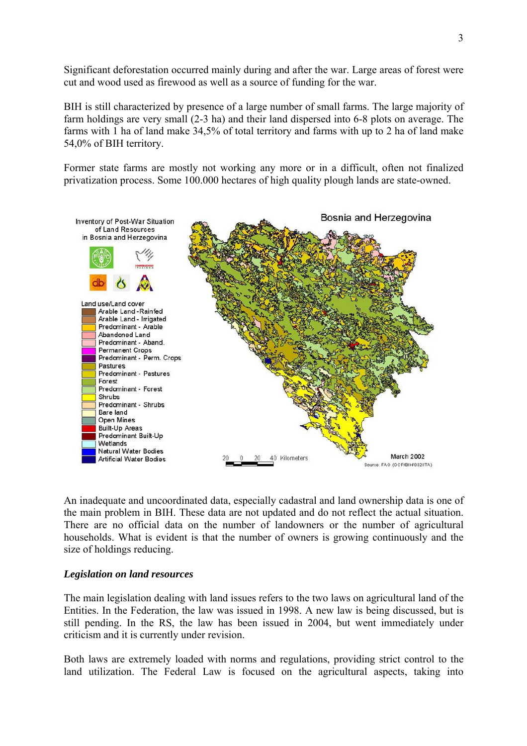Significant deforestation occurred mainly during and after the war. Large areas of forest were cut and wood used as firewood as well as a source of funding for the war.

BIH is still characterized by presence of a large number of small farms. The large majority of farm holdings are very small (2-3 ha) and their land dispersed into 6-8 plots on average. The farms with 1 ha of land make 34,5% of total territory and farms with up to 2 ha of land make 54,0% of BIH territory.

Former state farms are mostly not working any more or in a difficult, often not finalized privatization process. Some 100.000 hectares of high quality plough lands are state-owned.



An inadequate and uncoordinated data, especially cadastral and land ownership data is one of the main problem in BIH. These data are not updated and do not reflect the actual situation. There are no official data on the number of landowners or the number of agricultural households. What is evident is that the number of owners is growing continuously and the size of holdings reducing.

### *Legislation on land resources*

The main legislation dealing with land issues refers to the two laws on agricultural land of the Entities. In the Federation, the law was issued in 1998. A new law is being discussed, but is still pending. In the RS, the law has been issued in 2004, but went immediately under criticism and it is currently under revision.

Both laws are extremely loaded with norms and regulations, providing strict control to the land utilization. The Federal Law is focused on the agricultural aspects, taking into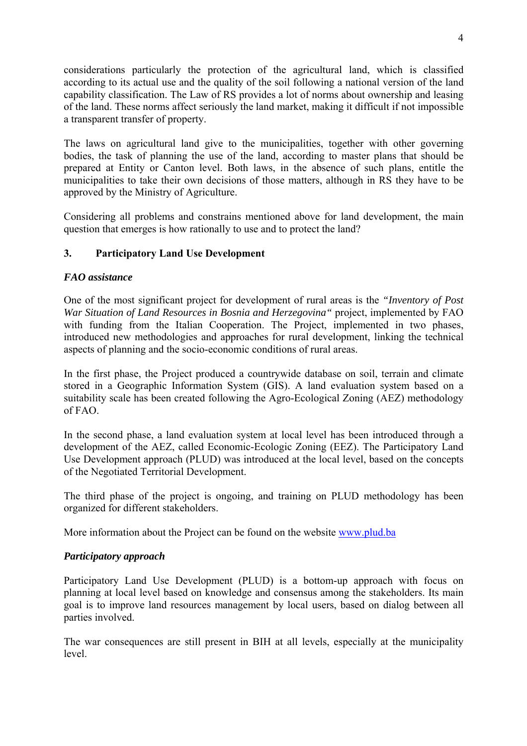considerations particularly the protection of the agricultural land, which is classified according to its actual use and the quality of the soil following a national version of the land capability classification. The Law of RS provides a lot of norms about ownership and leasing of the land. These norms affect seriously the land market, making it difficult if not impossible a transparent transfer of property.

The laws on agricultural land give to the municipalities, together with other governing bodies, the task of planning the use of the land, according to master plans that should be prepared at Entity or Canton level. Both laws, in the absence of such plans, entitle the municipalities to take their own decisions of those matters, although in RS they have to be approved by the Ministry of Agriculture.

Considering all problems and constrains mentioned above for land development, the main question that emerges is how rationally to use and to protect the land?

# **3. Participatory Land Use Development**

## *FAO assistance*

One of the most significant project for development of rural areas is the *"Inventory of Post War Situation of Land Resources in Bosnia and Herzegovina"* project, implemented by FAO with funding from the Italian Cooperation. The Project, implemented in two phases, introduced new methodologies and approaches for rural development, linking the technical aspects of planning and the socio-economic conditions of rural areas.

In the first phase, the Project produced a countrywide database on soil, terrain and climate stored in a Geographic Information System (GIS). A land evaluation system based on a suitability scale has been created following the Agro-Ecological Zoning (AEZ) methodology of FAO.

In the second phase, a land evaluation system at local level has been introduced through a development of the AEZ, called Economic-Ecologic Zoning (EEZ). The Participatory Land Use Development approach (PLUD) was introduced at the local level, based on the concepts of the Negotiated Territorial Development.

The third phase of the project is ongoing, and training on PLUD methodology has been organized for different stakeholders.

More information about the Project can be found on the website www.plud.ba

# *Participatory approach*

Participatory Land Use Development (PLUD) is a bottom-up approach with focus on planning at local level based on knowledge and consensus among the stakeholders. Its main goal is to improve land resources management by local users, based on dialog between all parties involved.

The war consequences are still present in BIH at all levels, especially at the municipality level.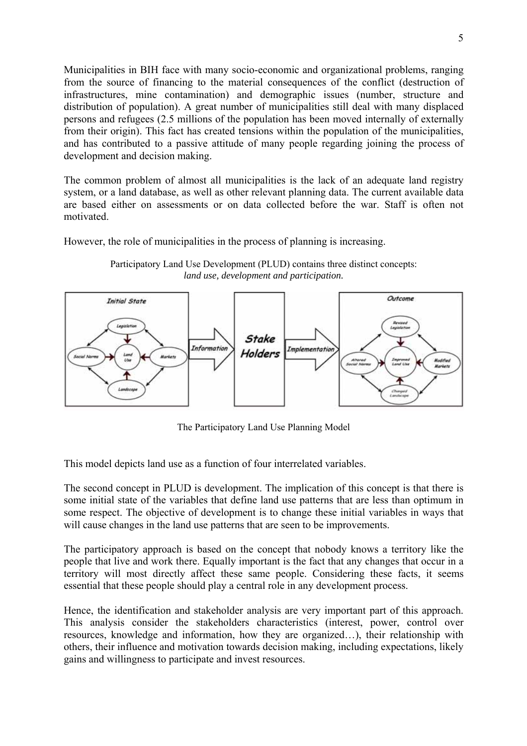Municipalities in BIH face with many socio-economic and organizational problems, ranging from the source of financing to the material consequences of the conflict (destruction of infrastructures, mine contamination) and demographic issues (number, structure and distribution of population). A great number of municipalities still deal with many displaced persons and refugees (2.5 millions of the population has been moved internally of externally from their origin). This fact has created tensions within the population of the municipalities, and has contributed to a passive attitude of many people regarding joining the process of development and decision making.

The common problem of almost all municipalities is the lack of an adequate land registry system, or a land database, as well as other relevant planning data. The current available data are based either on assessments or on data collected before the war. Staff is often not motivated.

However, the role of municipalities in the process of planning is increasing.

Participatory Land Use Development (PLUD) contains three distinct concepts: *land use, development and participation.* 



The Participatory Land Use Planning Model

This model depicts land use as a function of four interrelated variables.

The second concept in PLUD is development. The implication of this concept is that there is some initial state of the variables that define land use patterns that are less than optimum in some respect. The objective of development is to change these initial variables in ways that will cause changes in the land use patterns that are seen to be improvements.

The participatory approach is based on the concept that nobody knows a territory like the people that live and work there. Equally important is the fact that any changes that occur in a territory will most directly affect these same people. Considering these facts, it seems essential that these people should play a central role in any development process.

Hence, the identification and stakeholder analysis are very important part of this approach. This analysis consider the stakeholders characteristics (interest, power, control over resources, knowledge and information, how they are organized…), their relationship with others, their influence and motivation towards decision making, including expectations, likely gains and willingness to participate and invest resources.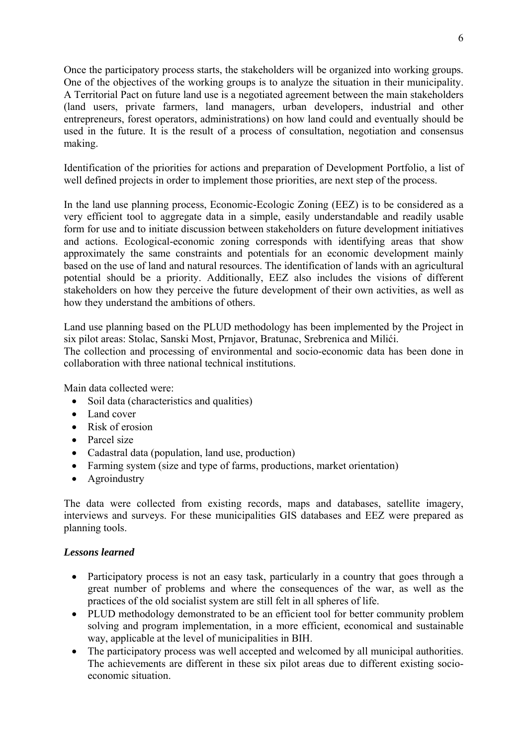Once the participatory process starts, the stakeholders will be organized into working groups. One of the objectives of the working groups is to analyze the situation in their municipality. A Territorial Pact on future land use is a negotiated agreement between the main stakeholders (land users, private farmers, land managers, urban developers, industrial and other entrepreneurs, forest operators, administrations) on how land could and eventually should be used in the future. It is the result of a process of consultation, negotiation and consensus making.

Identification of the priorities for actions and preparation of Development Portfolio, a list of well defined projects in order to implement those priorities, are next step of the process.

In the land use planning process, Economic-Ecologic Zoning (EEZ) is to be considered as a very efficient tool to aggregate data in a simple, easily understandable and readily usable form for use and to initiate discussion between stakeholders on future development initiatives and actions. Ecological-economic zoning corresponds with identifying areas that show approximately the same constraints and potentials for an economic development mainly based on the use of land and natural resources. The identification of lands with an agricultural potential should be a priority. Additionally, EEZ also includes the visions of different stakeholders on how they perceive the future development of their own activities, as well as how they understand the ambitions of others.

Land use planning based on the PLUD methodology has been implemented by the Project in six pilot areas: Stolac, Sanski Most, Prnjavor, Bratunac, Srebrenica and Milići.

The collection and processing of environmental and socio-economic data has been done in collaboration with three national technical institutions.

Main data collected were:

- Soil data (characteristics and qualities)
- Land cover
- Risk of erosion
- Parcel size
- Cadastral data (population, land use, production)
- Farming system (size and type of farms, productions, market orientation)
- Agroindustry

The data were collected from existing records, maps and databases, satellite imagery, interviews and surveys. For these municipalities GIS databases and EEZ were prepared as planning tools.

## *Lessons learned*

- Participatory process is not an easy task, particularly in a country that goes through a great number of problems and where the consequences of the war, as well as the practices of the old socialist system are still felt in all spheres of life.
- PLUD methodology demonstrated to be an efficient tool for better community problem solving and program implementation, in a more efficient, economical and sustainable way, applicable at the level of municipalities in BIH.
- The participatory process was well accepted and welcomed by all municipal authorities. The achievements are different in these six pilot areas due to different existing socioeconomic situation.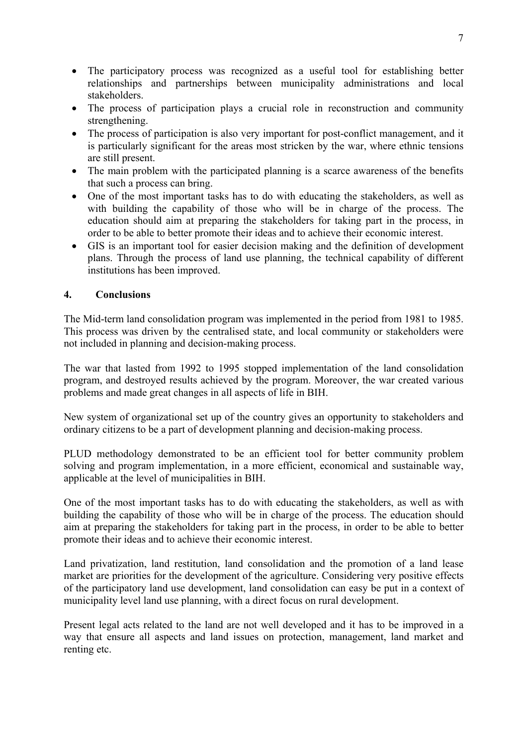- The participatory process was recognized as a useful tool for establishing better relationships and partnerships between municipality administrations and local stakeholders.
- The process of participation plays a crucial role in reconstruction and community strengthening.
- The process of participation is also very important for post-conflict management, and it is particularly significant for the areas most stricken by the war, where ethnic tensions are still present.
- The main problem with the participated planning is a scarce awareness of the benefits that such a process can bring.
- One of the most important tasks has to do with educating the stakeholders, as well as with building the capability of those who will be in charge of the process. The education should aim at preparing the stakeholders for taking part in the process, in order to be able to better promote their ideas and to achieve their economic interest.
- GIS is an important tool for easier decision making and the definition of development plans. Through the process of land use planning, the technical capability of different institutions has been improved.

# **4. Conclusions**

The Mid-term land consolidation program was implemented in the period from 1981 to 1985. This process was driven by the centralised state, and local community or stakeholders were not included in planning and decision-making process.

The war that lasted from 1992 to 1995 stopped implementation of the land consolidation program, and destroyed results achieved by the program. Moreover, the war created various problems and made great changes in all aspects of life in BIH.

New system of organizational set up of the country gives an opportunity to stakeholders and ordinary citizens to be a part of development planning and decision-making process.

PLUD methodology demonstrated to be an efficient tool for better community problem solving and program implementation, in a more efficient, economical and sustainable way, applicable at the level of municipalities in BIH.

One of the most important tasks has to do with educating the stakeholders, as well as with building the capability of those who will be in charge of the process. The education should aim at preparing the stakeholders for taking part in the process, in order to be able to better promote their ideas and to achieve their economic interest.

Land privatization, land restitution, land consolidation and the promotion of a land lease market are priorities for the development of the agriculture. Considering very positive effects of the participatory land use development, land consolidation can easy be put in a context of municipality level land use planning, with a direct focus on rural development.

Present legal acts related to the land are not well developed and it has to be improved in a way that ensure all aspects and land issues on protection, management, land market and renting etc.